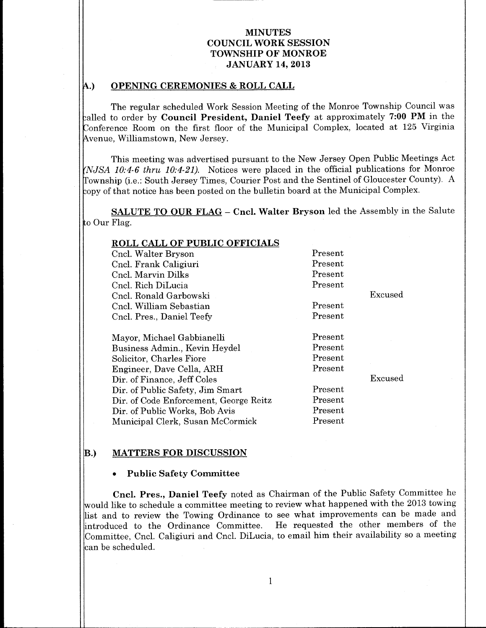#### OPENING CEREMONIES & ROLL CALL A.)

The regular scheduled Work Session Meeting of the Monroe Township Council was called to order by Council President, Daniel Teefy at approximately 7:00 PM in the Conference Room on the first floor of the Municipal Complex, located at 125 Virginia Avenue, Williamstown, New Jersey.

This meeting was advertised pursuant to the New Jersey Open Public Meetings Act (NJSA 10:4-6 thru 10:4-21). Notices were placed in the official publications for Monroe Township (i.e.: South Jersey Times, Courier Post and the Sentinel of Gloucester County). A copy of that notice has been posted on the bulletin board at the Municipal Complex.

SALUTE TO OUR FLAG - Cncl. Walter Bryson led the Assembly in the Salute to Our Flag.

| <b>ROLL CALL OF PUBLIC OFFICIALS</b>   |         |         |
|----------------------------------------|---------|---------|
| Cncl. Walter Bryson                    | Present |         |
| Cncl. Frank Caligiuri                  | Present |         |
| Cncl. Marvin Dilks                     | Present |         |
| Cncl. Rich DiLucia                     | Present |         |
| Cncl. Ronald Garbowski                 |         | Excused |
| Cncl. William Sebastian                | Present |         |
| Cncl. Pres., Daniel Teefy              | Present |         |
|                                        |         |         |
| Mayor, Michael Gabbianelli             | Present |         |
| Business Admin., Kevin Heydel          | Present |         |
| Solicitor, Charles Fiore               | Present |         |
| Engineer, Dave Cella, ARH              | Present |         |
| Dir. of Finance, Jeff Coles            |         | Excused |
| Dir. of Public Safety, Jim Smart       | Present |         |
| Dir. of Code Enforcement, George Reitz | Present |         |
| Dir. of Public Works, Bob Avis         | Present |         |
| Municipal Clerk, Susan McCormick       | Present |         |

#### B.) MATTERS FOR DISCUSSION

#### Public Safety Committee

Cncl. Pres., Daniel Teefy noted as Chairman of the Public Safety Committee he would like to schedule a committee meeting to review what happened with the 2013 towing list and to review the Towing Ordinance to see what improvements can be made and<br>introduced to the Ordinance Committee. He requested the other members of the He requested the other members of the Committee, Cncl. Caligiuri and Cncl. DiLucia, to email him their availability so a meeting can be scheduled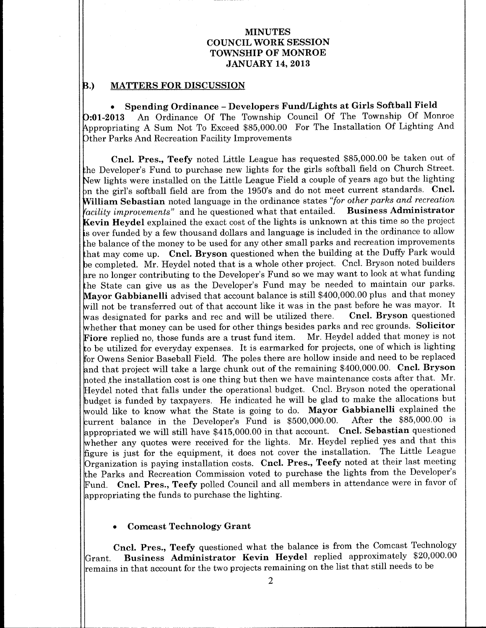#### B.) MATTERS FOR DISCUSSION

Spending Ordinance - Developers Fund/Lights at Girls Softball Field 01 2013 An Ordinance Of The Township Council Of The Township Of Monroe Appropriating A Sum Not To Exceed \$85,000.00 For The Installation Of Lighting And Other Parks And Recreation Facility Improvements

Cncl. Pres., Teefy noted Little League has requested \$85,000.00 be taken out of the Developer's Fund to purchase new lights for the girls softball field on Church Street. New lights were installed on the Little League Field a couple of years ago but the lighting bn the girl's softball field are from the 1950's and do not meet current standards. Cncl. William Sebastian noted language in the ordinance states "for other parks and recreation facility improvements" and he questioned what that entailed. Business Administrator Kevin Heydel explained the exact cost of the lights is unknown at this time so the project <sup>s</sup> over funded by a few thousand dollars and language is included in the ordinance to allow he balance of the money to be used for any other small parks and recreation improvements that may come up. Cncl. Bryson questioned when the building at the Duffy Park would be completed. Mr. Heydel noted that is a whole other project. Cncl. Bryson noted builders are no longer contributing to the Developer's Fund so we may want to look at what funding the State can give us as the Developer's Fund may be needed to maintain our parks. Mayor Gabbianelli advised that account balance is still \$400,000.00 plus and that money will not be transferred out of that account like it was in the past before he was mayor. It<br>was designated for parks and rec and will be utilized there. Cncl. Bryson questioned was designated for parks and rec and will be utilized there. whether that money can be used for other things besides parks and rec grounds. Solicitor Fiore replied no, those funds are a trust fund item. Mr. Heydel added that money is not to be utilized for everyday expenses. It is earmarked for projects, one of which is lighting for Owens Senior Baseball Field. The poles there are hollow inside and need to be replaced and that project will take a large chunk out of the remaining \$400,000.00. Cncl. Bryson hoted the installation cost is one thing but then we have maintenance costs after that. Mr. Heydel noted that falls under the operational budget. Cncl. Bryson noted the operational budget is funded by taxpayers. He indicated he will be glad to make the allocations but would like to know what the State is going to do. Mayor Gabbianelli explained the<br>current, balance in the Developer's Fund is \$500,000,00. After the \$85,000,00 is current balance in the Developer's Fund is \$500,000.00. appropriated we will still have  $$415,000.00$  in that account. Cncl. Sebastian questioned whether any quotes were received for the lights. Mr. Heydel replied yes and that this figure is just for the equipment, it does not cover the installation. The Little League Organization is paying installation costs. Cncl. Pres., Teefy noted at their last meeting the Parks and Recreation Commission voted to purchase the lights from the Developer's Fund. Cncl. Pres., Teefy polled Council and all members in attendance were in favor of appropriating the funds to purchase the lighting

#### Comcast Technology Grant

Cncl. Pres., Teefy questioned what the balance is from the Comcast Technology Grant. Business Administrator Kevin Heydel replied approximately \$20,000.00 remains in that account for the two projects remaining on the list that still needs to be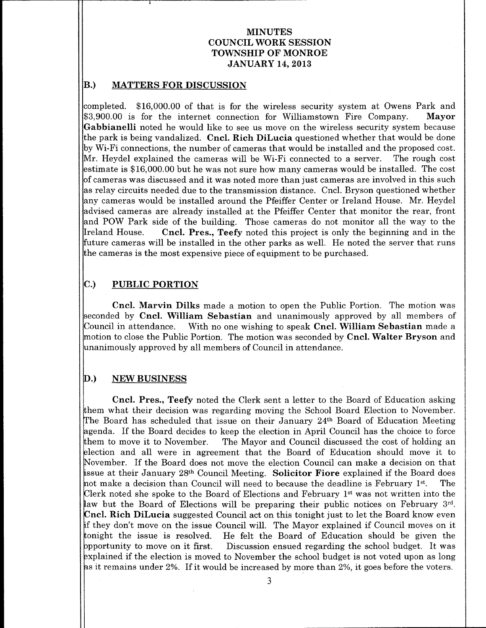#### B.) MATTERS FOR DISCUSSION

completed. \$16,000.00 of that is for the wireless security system at Owens Park and<br>\$3,900.00 is for the internet connection for Williamstown Fire Company. Mayor \$3,900.00 is for the internet connection for Williamstown Fire Company. Gabbianelli noted he would like to see us move on the wireless security system because the park is being vandalized. Cncl. Rich DiLucia questioned whether that would be done by Wi-Fi connections, the number of cameras that would be installed and the proposed cost. Mr Heydel explained the cameras will be Wi Fi connected to a server The rough cost estimate is  $$16,000.00$  but he was not sure how many cameras would be installed. The cost of cameras was discussed and it was noted more than just cameras are involved in this such as relay circuits needed due to the transmission distance. Cncl. Bryson questioned whether any cameras would be installed around the Pfeiffer Center or Ireland House Mr Heydel advised cameras are already installed at the Pfeiffer Center that monitor the rear, front and POW Park side of the building. Those cameras do not monitor all the way to the Ireland House. Cncl. Pres., Teefy noted this project is only the beginning and in the future cameras will be installed in the other parks as well. He noted the server that runs the cameras is the most expensive piece of equipment to be purchased

# C.) PUBLIC PORTION

Cncl. Marvin Dilks made a motion to open the Public Portion. The motion was seconded by Cncl. William Sebastian and unanimously approved by all members of<br>Council in attendance. With no one wishing to speak Cncl. William Sebastian made a With no one wishing to speak Cncl. William Sebastian made a motion to close the Public Portion. The motion was seconded by **Cncl. Walter Bryson** and unanimously approved by all members of Council in attendance

### D.) NEW BUSINESS

Cncl. Pres., Teefy noted the Clerk sent a letter to the Board of Education asking hem what their decision was regarding moving the School Board Election to November The Board has scheduled that issue on their January 24<sup>th</sup> Board of Education Meeting agenda. If the Board decides to keep the election in April Council has the choice to force<br>them to move it to November. The Mayor and Council discussed the cost of holding an The Mayor and Council discussed the cost of holding an 3lection and all were in agreement that the Board of Education should move it to November. If the Board does not move the election Council can make a decision on that issue at their January 28<sup>th</sup> Council Meeting. Solicitor Fiore explained if the Board does<br>not make a decision than Council will need to because the deadline is February 1st. The hot make a decision than Council will need to because the deadline is February  $1^{st}$ . Clerk noted she spoke to the Board of Elections and February 1st was not written into the law but the Board of Elections will be preparing their public notices on February 3<sup>rd</sup>. **Cncl. Rich DiLucia** suggested Council act on this tonight just to let the Board know even f they don't move on the issue Council will. The Mayor explained if Council moves on it tonight the issue is resolved. He felt the Board of Education should be given the<br>ppportunity to move on it first. Discussion ensued regarding the school budget. It was Discussion ensued regarding the school budget. It was explained if the election is moved to November the school budget is not voted upon as long as it remains under 2%. If it would be increased by more than 2%, it goes before the voters.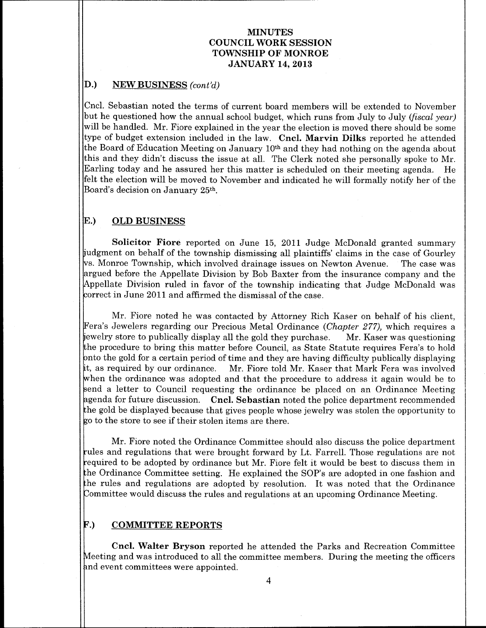#### D.) NEW BUSINESS (cont'd)

Cncl Sebastian noted the terms of current board members will be extended to November but he questioned how the annual school budget, which runs from July to July (*fiscal year*) will be handled. Mr. Fiore explained in the year the election is moved there should be some type of budget extension included in the law. Cncl. Marvin Dilks reported he attended the Board of Education Meeting on January 10th and they had nothing on the agenda about this and they didn't discuss the issue at all. The Clerk noted she personally spoke to  $Mr$ . Earling today and he assured her this matter is scheduled on their meeting agenda. He felt the election will be moved to November and indicated he will formally notify her of the Board's decision on January 25<sup>th</sup>.

# E.) OLD BUSINESS

Solicitor Fiore reported on June 15, 2011 Judge McDonald granted summary judgment on behalf of the township dismissing all plaintiffs' claims in the case of Gourley<br>vs. Monroe Township, which involved drainage issues on Newton Avenue. The case was  $\triangledown$  Monroe Township, which involved drainage issues on Newton Avenue. argued before the Appellate Division by Bob Baxter from the insurance company and the Appellate Division ruled in favor of the township indicating that Judge McDonald was correct in June 2011 and affirmed the dismissal of the case

Mr. Fiore noted he was contacted by Attorney Rich Kaser on behalf of his client, Fera's Jewelers regarding our Precious Metal Ordinance (*Chapter 277),* which requires a<br>jewelry store to publically display all the gold they purchase. Mr. Kaser was questioning jewelry store to publically display all the gold they purchase. the procedure to bring this matter before Council, as State Statute requires Fera's to hold bnto the gold for a certain period of time and they are having difficulty publically displaying<br>it, as required by our ordinance. Mr. Fiore told Mr. Kaser that Mark Fera was involved Mr. Fiore told Mr. Kaser that Mark Fera was involved when the ordinance was adopted and that the procedure to address it again would be to send a letter to Council requesting the ordinance be placed on an Ordinance Meeting agenda for future discussion.  $\,$  Cncl. Sebastian noted the police department recommended the gold be displayed because that gives people whose jewelry was stolen the opportunity to <sup>0</sup> to the store to see if their stolen items are there

Mr Fiore noted the Ordinance Committee should also discuss the police department rules and regulations that were brought forward by Lt. Farrell. Those regulations are not equired to be adopted by ordinance but Mr Fiore felt it would be best to discuss them in the Ordinance Committee setting. He explained the SOP's are adopted in one fashion and the rules and regulations are adopted by resolution. It was noted that the Ordinance Committee would discuss the rules and regulations at an upcoming Ordinance Meeting.

#### F.) COMMITTEE REPORTS

Cncl. Walter Bryson reported he attended the Parks and Recreation Committee Meeting and was introduced to all the committee members. During the meeting the officers and event committees were appointed.